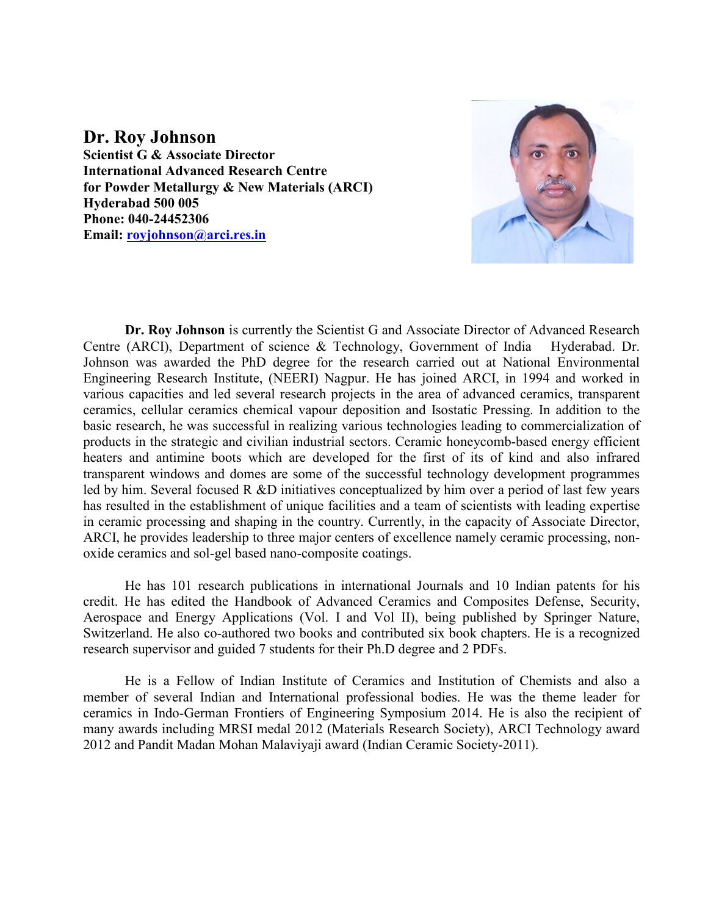#### **Dr. Roy Johnson**

**Scientist G & Associate Director International Advanced Research Centre for Powder Metallurgy & New Materials (ARCI) Hyderabad 500 005 Phone: 040-24452306 Email: [royjohnson@arci.res.in](mailto:royjohnson@arci.res.in)**



**Dr. Roy Johnson** is currently the Scientist G and Associate Director of Advanced Research Centre (ARCI), Department of science & Technology, Government of India Hyderabad. Dr. Johnson was awarded the PhD degree for the research carried out at National Environmental Engineering Research Institute, (NEERI) Nagpur. He has joined ARCI, in 1994 and worked in various capacities and led several research projects in the area of advanced ceramics, transparent ceramics, cellular ceramics chemical vapour deposition and Isostatic Pressing. In addition to the basic research, he was successful in realizing various technologies leading to commercialization of products in the strategic and civilian industrial sectors. Ceramic honeycomb-based energy efficient heaters and antimine boots which are developed for the first of its of kind and also infrared transparent windows and domes are some of the successful technology development programmes led by him. Several focused R &D initiatives conceptualized by him over a period of last few years has resulted in the establishment of unique facilities and a team of scientists with leading expertise in ceramic processing and shaping in the country. Currently, in the capacity of Associate Director, ARCI, he provides leadership to three major centers of excellence namely ceramic processing, nonoxide ceramics and sol-gel based nano-composite coatings.

He has 101 research publications in international Journals and 10 Indian patents for his credit. He has edited the Handbook of Advanced Ceramics and Composites Defense, Security, Aerospace and Energy Applications (Vol. I and Vol II), being published by Springer Nature, Switzerland. He also co-authored two books and contributed six book chapters. He is a recognized research supervisor and guided 7 students for their Ph.D degree and 2 PDFs.

He is a Fellow of Indian Institute of Ceramics and Institution of Chemists and also a member of several Indian and International professional bodies. He was the theme leader for ceramics in Indo-German Frontiers of Engineering Symposium 2014. He is also the recipient of many awards including MRSI medal 2012 (Materials Research Society), ARCI Technology award 2012 and Pandit Madan Mohan Malaviyaji award (Indian Ceramic Society-2011).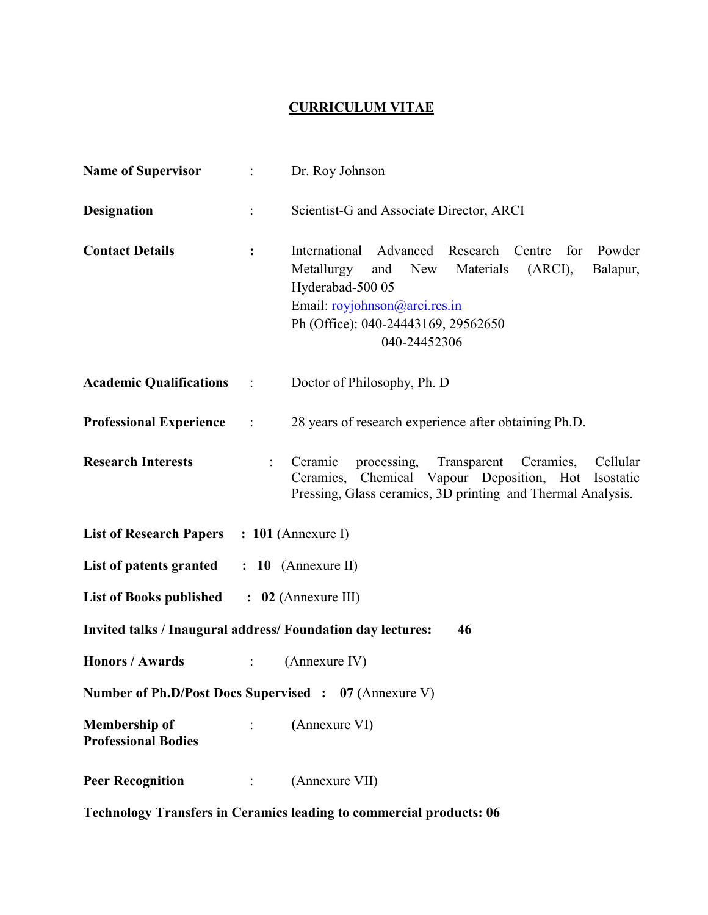## **CURRICULUM VITAE**

| <b>Name of Supervisor</b>                                                                                      |                             | Dr. Roy Johnson                                                                                                                                                                                                                  |
|----------------------------------------------------------------------------------------------------------------|-----------------------------|----------------------------------------------------------------------------------------------------------------------------------------------------------------------------------------------------------------------------------|
| <b>Designation</b>                                                                                             | $\ddot{\cdot}$              | Scientist-G and Associate Director, ARCI                                                                                                                                                                                         |
| <b>Contact Details</b>                                                                                         | $\ddot{\cdot}$              | International Advanced Research Centre<br>Powder<br>for<br>Metallurgy<br>New Materials<br>(ARCI),<br>and<br>Balapur,<br>Hyderabad-500 05<br>Email: royjohnson@arci.res.in<br>Ph (Office): 040-24443169, 29562650<br>040-24452306 |
| <b>Academic Qualifications</b>                                                                                 | $\sim 10^{-10}$             | Doctor of Philosophy, Ph. D                                                                                                                                                                                                      |
| <b>Professional Experience</b>                                                                                 | $\sim 1000$ km $^{-1}$      | 28 years of research experience after obtaining Ph.D.                                                                                                                                                                            |
| <b>Research Interests</b>                                                                                      |                             | Ceramic<br>processing, Transparent Ceramics,<br>Cellular<br>Ceramics, Chemical Vapour Deposition, Hot<br>Isostatic<br>Pressing, Glass ceramics, 3D printing and Thermal Analysis.                                                |
| List of Research Papers : 101 (Annexure I)                                                                     |                             |                                                                                                                                                                                                                                  |
| List of patents granted                                                                                        |                             | $: 10$ (Annexure II)                                                                                                                                                                                                             |
| <b>List of Books published</b>                                                                                 |                             | $\therefore$ 02 (Annexure III)                                                                                                                                                                                                   |
| <b>Invited talks / Inaugural address/ Foundation day lectures:</b><br>46                                       |                             |                                                                                                                                                                                                                                  |
| <b>Honors / Awards</b>                                                                                         | $\ddot{\cdot}$              | (Annexure IV)                                                                                                                                                                                                                    |
| Number of Ph.D/Post Docs Supervised : 07 (Annexure V)                                                          |                             |                                                                                                                                                                                                                                  |
| <b>Membership of</b><br><b>Professional Bodies</b>                                                             | $\mathbb{C}^{\mathbb{C}}$ . | (Annexure VI)                                                                                                                                                                                                                    |
| <b>Peer Recognition</b><br>$\mathcal{L}^{\text{max}}_{\text{max}}$ and $\mathcal{L}^{\text{max}}_{\text{max}}$ |                             | (Annexure VII)                                                                                                                                                                                                                   |
| <b>Technology Transfers in Ceramics leading to commercial products: 06</b>                                     |                             |                                                                                                                                                                                                                                  |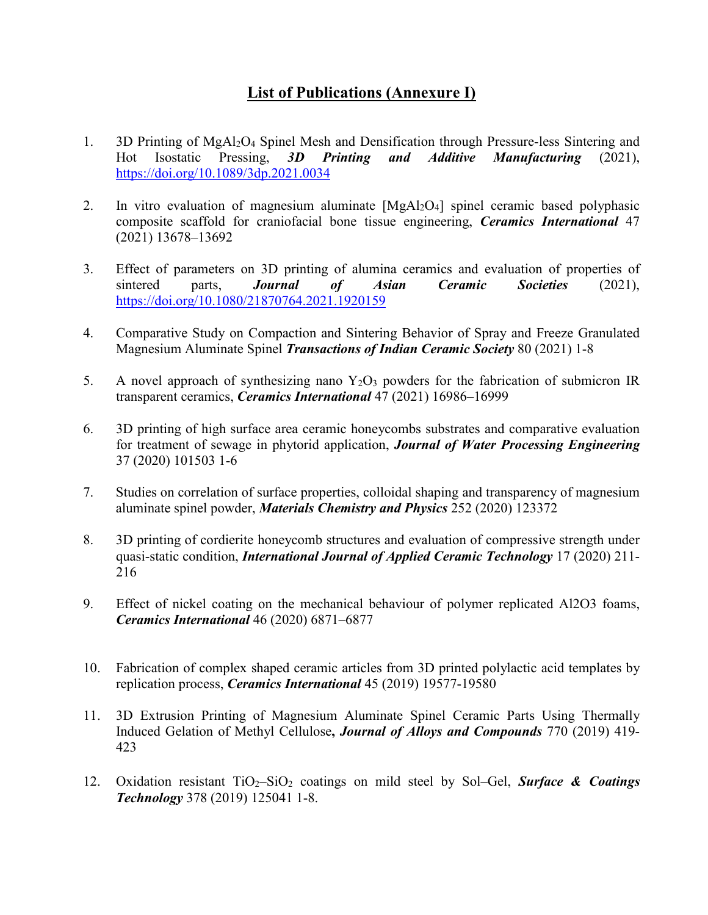## **List of Publications (Annexure I)**

- 1. 3D Printing of MgAl2O4 Spinel Mesh and Densification through Pressure-less Sintering and Hot Isostatic Pressing, *3D Printing and Additive Manufacturing* (2021), <https://doi.org/10.1089/3dp.2021.0034>
- 2. In vitro evaluation of magnesium aluminate [MgAl<sub>2</sub>O<sub>4</sub>] spinel ceramic based polyphasic composite scaffold for craniofacial bone tissue engineering, *Ceramics International* 47 (2021) 13678–13692
- 3. Effect of parameters on 3D printing of alumina ceramics and evaluation of properties of sintered parts, *Journal of Asian Ceramic Societies* (2021), <https://doi.org/10.1080/21870764.2021.1920159>
- 4. Comparative Study on Compaction and Sintering Behavior of Spray and Freeze Granulated Magnesium Aluminate Spinel *Transactions of Indian Ceramic Society* 80 (2021) 1-8
- 5. A novel approach of synthesizing nano  $Y_2O_3$  powders for the fabrication of submicron IR transparent ceramics, *Ceramics International* 47 (2021) 16986–16999
- 6. 3D printing of high surface area ceramic honeycombs substrates and comparative evaluation for treatment of sewage in phytorid application, *Journal of Water Processing Engineering*  37 (2020) 101503 1-6
- 7. Studies on correlation of surface properties, colloidal shaping and transparency of magnesium aluminate spinel powder, *Materials Chemistry and Physics* 252 (2020) 123372
- 8. 3D printing of cordierite honeycomb structures and evaluation of compressive strength under quasi-static condition, *International Journal of Applied Ceramic Technology* 17 (2020) 211- 216
- 9. Effect of nickel coating on the mechanical behaviour of polymer replicated Al2O3 foams, *Ceramics International* 46 (2020) 6871–6877
- 10. Fabrication of complex shaped ceramic articles from 3D printed polylactic acid templates by replication process, *Ceramics International* 45 (2019) 19577-19580
- 11. 3D Extrusion Printing of Magnesium Aluminate Spinel Ceramic Parts Using Thermally Induced Gelation of Methyl Cellulose**,** *Journal of Alloys and Compounds* 770 (2019) 419- 423
- 12. Oxidation resistant TiO2–SiO2 coatings on mild steel by Sol–Gel, *Surface & Coatings Technology* 378 (2019) 125041 1-8.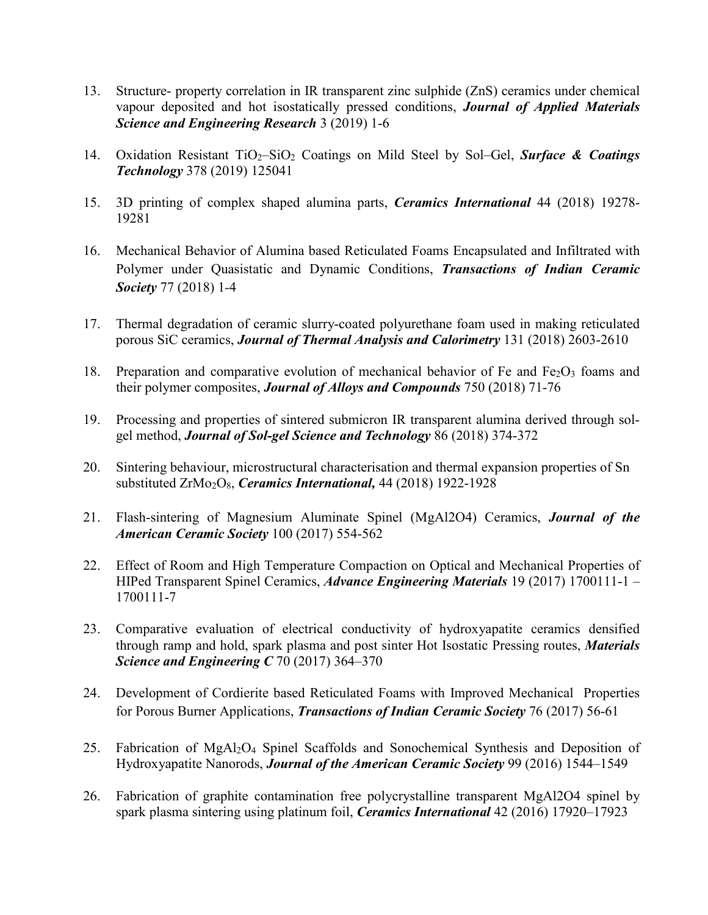- 13. Structure- property correlation in IR transparent zinc sulphide (ZnS) ceramics under chemical vapour deposited and hot isostatically pressed conditions, *Journal of Applied Materials Science and Engineering Research* 3 (2019) 1-6
- 14. Oxidation Resistant TiO2–SiO2 Coatings on Mild Steel by Sol–Gel, *Surface & Coatings Technology* 378 (2019) 125041
- 15. 3D printing of complex shaped alumina parts, *Ceramics International* 44 (2018) 19278- 19281
- 16. Mechanical Behavior of Alumina based Reticulated Foams Encapsulated and Infiltrated with Polymer under Quasistatic and Dynamic Conditions, *Transactions of Indian Ceramic Society* 77 (2018) 1*-*4
- 17. Thermal degradation of ceramic slurry-coated polyurethane foam used in making reticulated porous SiC ceramics, *Journal of Thermal Analysis and Calorimetry* 131 (2018) 2603-2610
- 18. Preparation and comparative evolution of mechanical behavior of Fe and  $Fe<sub>2</sub>O<sub>3</sub>$  foams and their polymer composites, *Journal of Alloys and Compounds* 750 (2018) 71-76
- 19. Processing and properties of sintered submicron IR transparent alumina derived through solgel method, *Journal of Sol-gel Science and Technology* 86 (2018) 374-372
- 20. Sintering behaviour, microstructural characterisation and thermal expansion properties of Sn substituted ZrMo<sub>2</sub>O<sub>8</sub>, *Ceramics International*, 44 (2018) 1922-1928
- 21. Flash-sintering of Magnesium Aluminate Spinel (MgAl2O4) Ceramics, *Journal of the American Ceramic Society* 100 (2017) 554-562
- 22. Effect of Room and High Temperature Compaction on Optical and Mechanical Properties of HIPed Transparent Spinel Ceramics, *Advance Engineering Materials* 19 (2017) 1700111-1 – 1700111-7
- 23. Comparative evaluation of electrical conductivity of hydroxyapatite ceramics densified through ramp and hold, spark plasma and post sinter Hot Isostatic Pressing routes, *Materials Science and Engineering C* 70 (2017) 364–370
- 24. Development of Cordierite based Reticulated Foams with Improved Mechanical Properties for Porous Burner Applications, *Transactions of Indian Ceramic Society* 76 (2017) 56-61
- 25. Fabrication of MgAl2O4 Spinel Scaffolds and Sonochemical Synthesis and Deposition of Hydroxyapatite Nanorods, *Journal of the American Ceramic Society* 99 (2016) 1544–1549
- 26. Fabrication of graphite contamination free polycrystalline transparent MgAl2O4 spinel by spark plasma sintering using platinum foil, *Ceramics International* 42 (2016) 17920–17923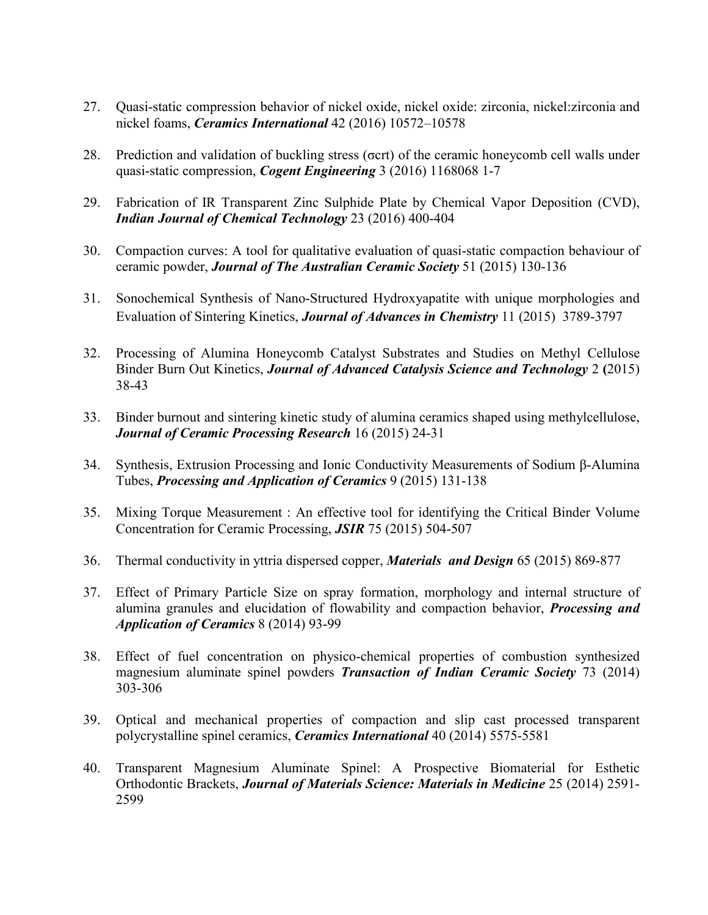- 27. Quasi-static compression behavior of nickel oxide, nickel oxide: zirconia, nickel:zirconia and nickel foams, *Ceramics International* 42 (2016) 10572–10578
- 28. Prediction and validation of buckling stress (σcrt) of the ceramic honeycomb cell walls under quasi-static compression, *Cogent Engineering* 3 (2016) 1168068 1-7
- 29. Fabrication of IR Transparent Zinc Sulphide Plate by Chemical Vapor Deposition (CVD), *Indian Journal of Chemical Technology* 23 (2016) 400-404
- 30. Compaction curves: A tool for qualitative evaluation of quasi-static compaction behaviour of ceramic powder, *Journal of The Australian Ceramic Society* 51 (2015) 130-136
- 31. Sonochemical Synthesis of Nano-Structured Hydroxyapatite with unique morphologies and Evaluation of Sintering Kinetics, *Journal of Advances in Chemistry* 11 (2015) 3789-3797
- 32. Processing of Alumina Honeycomb Catalyst Substrates and Studies on Methyl Cellulose Binder Burn Out Kinetics, *Journal of Advanced Catalysis Science and Technology* 2 **(**2015) 38-43
- 33. Binder burnout and sintering kinetic study of alumina ceramics shaped using methylcellulose, *Journal of Ceramic Processing Research* 16 (2015) 24-31
- 34. Synthesis, Extrusion Processing and Ionic Conductivity Measurements of Sodium β-Alumina Tubes, *Processing and Application of Ceramics* 9 (2015) 131-138
- 35. Mixing Torque Measurement : An effective tool for identifying the Critical Binder Volume Concentration for Ceramic Processing, *JSIR* 75 (2015) 504-507
- 36. Thermal conductivity in yttria dispersed copper, *Materials and Design* 65 (2015) 869-877
- 37. Effect of Primary Particle Size on spray formation, morphology and internal structure of alumina granules and elucidation of flowability and compaction behavior, *Processing and Application of Ceramics* 8 (2014) 93-99
- 38. Effect of fuel concentration on physico-chemical properties of combustion synthesized magnesium aluminate spinel powders *Transaction of Indian Ceramic Society* 73 (2014) 303-306
- 39. Optical and mechanical properties of compaction and slip cast processed transparent polycrystalline spinel ceramics, *Ceramics International* 40 (2014) 5575-5581
- 40. Transparent Magnesium Aluminate Spinel: A Prospective Biomaterial for Esthetic Orthodontic Brackets, *Journal of Materials Science: Materials in Medicine* 25 (2014) 2591- 2599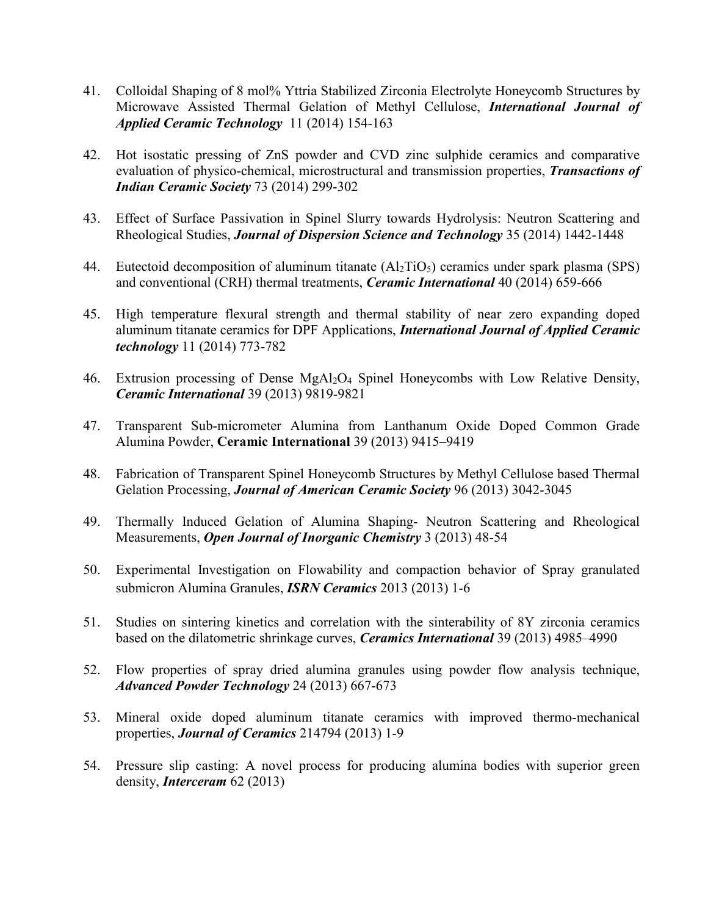- 41. Colloidal Shaping of 8 mol% Yttria Stabilized Zirconia Electrolyte Honeycomb Structures by Microwave Assisted Thermal Gelation of Methyl Cellulose, *International Journal of Applied Ceramic Technology* 11 (2014) 154-163
- 42. Hot isostatic pressing of ZnS powder and CVD zinc sulphide ceramics and comparative evaluation of physico-chemical, microstructural and transmission properties, *Transactions of Indian Ceramic Society* 73 (2014) 299-302
- 43. Effect of Surface Passivation in Spinel Slurry towards Hydrolysis: Neutron Scattering and Rheological Studies, *Journal of Dispersion Science and Technology* 35 (2014) 1442-1448
- 44. Eutectoid decomposition of aluminum titanate  $(Al_2TiO_5)$  ceramics under spark plasma (SPS) and conventional (CRH) thermal treatments, *Ceramic International* 40 (2014) 659-666
- 45. High temperature flexural strength and thermal stability of near zero expanding doped aluminum titanate ceramics for DPF Applications, *International Journal of Applied Ceramic technology* 11 (2014) 773-782
- 46. Extrusion processing of Dense MgAl<sub>2</sub>O<sub>4</sub> Spinel Honeycombs with Low Relative Density, *Ceramic International* 39 (2013) 9819-9821
- 47. Transparent Sub-micrometer Alumina from Lanthanum Oxide Doped Common Grade Alumina Powder, **Ceramic International** 39 (2013) 9415–9419
- 48. Fabrication of Transparent Spinel Honeycomb Structures by Methyl Cellulose based Thermal Gelation Processing, *Journal of American Ceramic Society* 96 (2013) 3042-3045
- 49. Thermally Induced Gelation of Alumina Shaping- Neutron Scattering and Rheological Measurements, *Open Journal of Inorganic Chemistry* 3 (2013) 48-54
- 50. Experimental Investigation on Flowability and compaction behavior of Spray granulated submicron Alumina Granules, *ISRN Ceramics* 2013 (2013) 1-6
- 51. Studies on sintering kinetics and correlation with the sinterability of 8Y zirconia ceramics based on the dilatometric shrinkage curves, *Ceramics International* 39 (2013) 4985–4990
- 52. Flow properties of spray dried alumina granules using powder flow analysis technique, *Advanced Powder Technology* 24 (2013) 667-673
- 53. Mineral oxide doped aluminum titanate ceramics with improved thermo-mechanical properties, *Journal of Ceramics* 214794 (2013) 1-9
- 54. Pressure slip casting: A novel process for producing alumina bodies with superior green density, *Interceram* 62 (2013)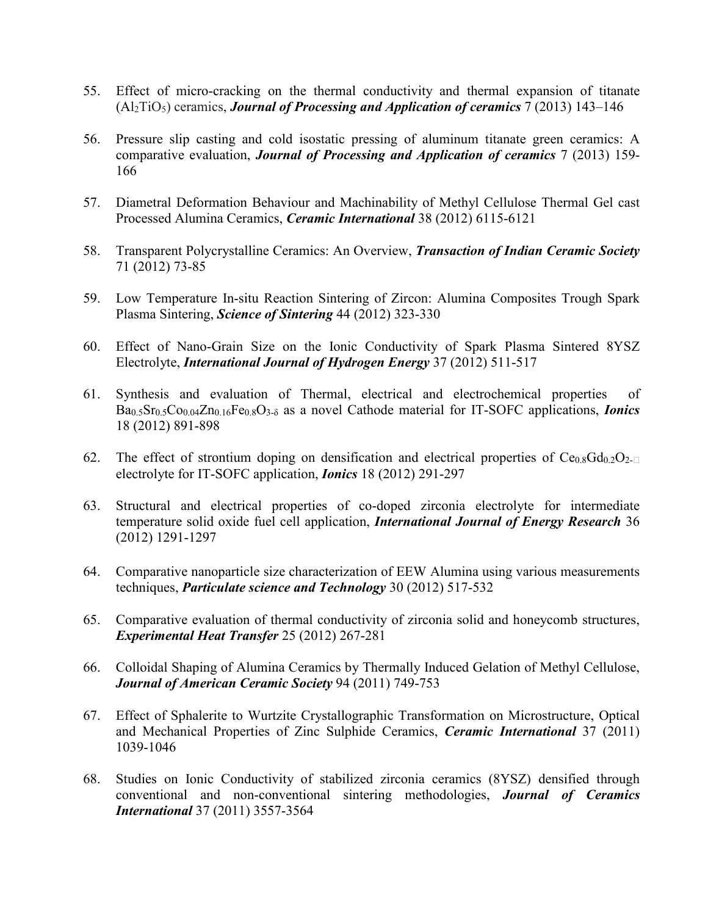- 55. Effect of micro-cracking on the thermal conductivity and thermal expansion of titanate (Al2TiO5) ceramics, *Journal of Processing and Application of ceramics* 7 (2013) 143–146
- 56. Pressure slip casting and cold isostatic pressing of aluminum titanate green ceramics: A comparative evaluation, *Journal of Processing and Application of ceramics* 7 (2013) 159- 166
- 57. Diametral Deformation Behaviour and Machinability of Methyl Cellulose Thermal Gel cast Processed Alumina Ceramics, *Ceramic International* 38 (2012) 6115-6121
- 58. Transparent Polycrystalline Ceramics: An Overview, *Transaction of Indian Ceramic Society* 71 (2012) 73-85
- 59. Low Temperature In-situ Reaction Sintering of Zircon: Alumina Composites Trough Spark Plasma Sintering, *Science of Sintering* 44 (2012) 323-330
- 60. Effect of Nano-Grain Size on the Ionic Conductivity of Spark Plasma Sintered 8YSZ Electrolyte, *International Journal of Hydrogen Energy* 37 (2012) 511-517
- 61. Synthesis and evaluation of Thermal, electrical and electrochemical properties of Ba0.5Sr0.5Co0.04Zn0.16Fe0.8O3-<sup>δ</sup> as a novel Cathode material for IT-SOFC applications, *Ionics*  18 (2012) 891-898
- 62. The effect of strontium doping on densification and electrical properties of  $Ce<sub>0.8</sub>Gd<sub>0.2</sub>O<sub>2-1</sub>$ electrolyte for IT-SOFC application, *Ionics* 18 (2012) 291-297
- 63. Structural and electrical properties of co-doped zirconia electrolyte for intermediate temperature solid oxide fuel cell application, *International Journal of Energy Research* 36 (2012) 1291-1297
- 64. Comparative nanoparticle size characterization of EEW Alumina using various measurements techniques, *Particulate science and Technology* 30 (2012) 517-532
- 65. Comparative evaluation of thermal conductivity of zirconia solid and honeycomb structures, *Experimental Heat Transfer* 25 (2012) 267-281
- 66. Colloidal Shaping of Alumina Ceramics by Thermally Induced Gelation of Methyl Cellulose, *Journal of American Ceramic Society* 94 (2011) 749-753
- 67. Effect of Sphalerite to Wurtzite Crystallographic Transformation on Microstructure, Optical and Mechanical Properties of Zinc Sulphide Ceramics, *Ceramic International* 37 (2011) 1039-1046
- 68. Studies on Ionic Conductivity of stabilized zirconia ceramics (8YSZ) densified through conventional and non-conventional sintering methodologies, *Journal of Ceramics International* 37 (2011) 3557-3564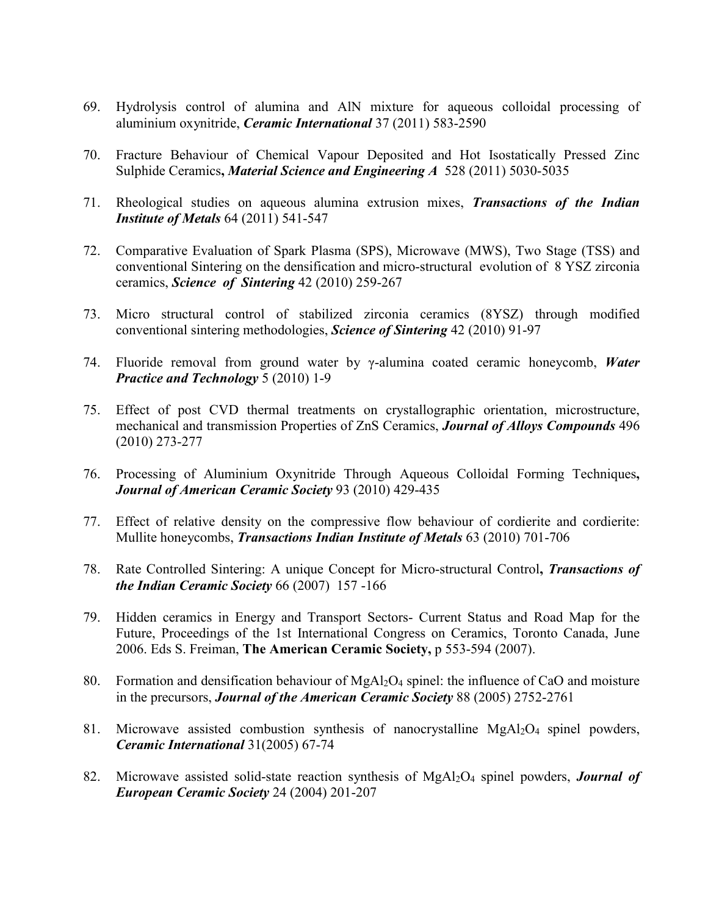- 69. Hydrolysis control of alumina and AlN mixture for aqueous colloidal processing of aluminium oxynitride, *Ceramic International* 37 (2011) 583-2590
- 70. Fracture Behaviour of Chemical Vapour Deposited and Hot Isostatically Pressed Zinc Sulphide Ceramics**,** *Material Science and Engineering A* 528 (2011) 5030-5035
- 71. Rheological studies on aqueous alumina extrusion mixes, *Transactions of the Indian Institute of Metals* 64 (2011) 541-547
- 72. Comparative Evaluation of Spark Plasma (SPS), Microwave (MWS), Two Stage (TSS) and conventional Sintering on the densification and micro-structural evolution of 8 YSZ zirconia ceramics, *Science of Sintering* 42 (2010) 259-267
- 73. Micro structural control of stabilized zirconia ceramics (8YSZ) through modified conventional sintering methodologies, *Science of Sintering* 42 (2010) 91-97
- 74. Fluoride removal from ground water by γ-alumina coated ceramic honeycomb, *Water Practice and Technology* 5 (2010) 1-9
- 75. Effect of post CVD thermal treatments on crystallographic orientation, microstructure, mechanical and transmission Properties of ZnS Ceramics, *Journal of Alloys Compounds* 496 (2010) 273-277
- 76. Processing of Aluminium Oxynitride Through Aqueous Colloidal Forming Techniques**,** *Journal of American Ceramic Society* 93 (2010) 429-435
- 77. Effect of relative density on the compressive flow behaviour of cordierite and cordierite: Mullite honeycombs, *Transactions Indian Institute of Metals* 63 (2010) 701-706
- 78. Rate Controlled Sintering: A unique Concept for Micro-structural Control**,** *Transactions of the Indian Ceramic Society* 66 (2007) 157 -166
- 79. Hidden ceramics in Energy and Transport Sectors- Current Status and Road Map for the Future, Proceedings of the 1st International Congress on Ceramics, Toronto Canada, June 2006. Eds S. Freiman, **The American Ceramic Society,** p 553-594 (2007).
- 80. Formation and densification behaviour of MgAl2O4 spinel: the influence of CaO and moisture in the precursors, *Journal of the American Ceramic Society* 88 (2005) 2752-2761
- 81. Microwave assisted combustion synthesis of nanocrystalline MgAl<sub>2</sub>O<sub>4</sub> spinel powders, *Ceramic International* 31(2005) 67-74
- 82. Microwave assisted solid-state reaction synthesis of MgAl2O4 spinel powders, *Journal of European Ceramic Society* 24 (2004) 201-207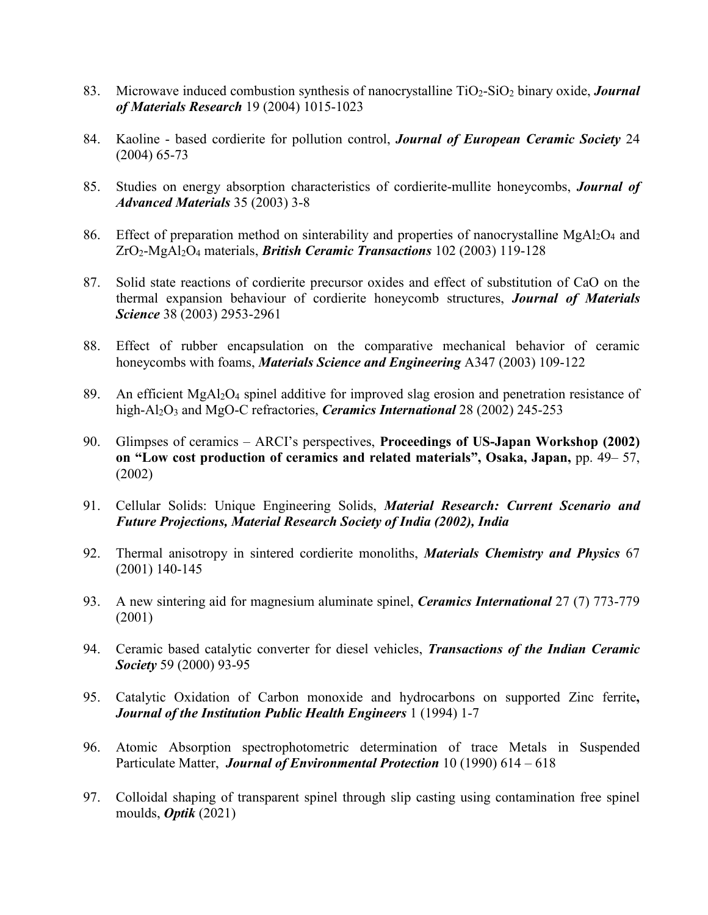- 83. Microwave induced combustion synthesis of nanocrystalline TiO2-SiO2 binary oxide, *Journal of Materials Research* 19 (2004) 1015-1023
- 84. Kaoline based cordierite for pollution control, *Journal of European Ceramic Society* 24 (2004) 65-73
- 85. Studies on energy absorption characteristics of cordierite-mullite honeycombs, *Journal of Advanced Materials* 35 (2003) 3-8
- 86. Effect of preparation method on sinterability and properties of nanocrystalline  $MgA_2O_4$  and ZrO2-MgAl2O4 materials, *British Ceramic Transactions* 102 (2003) 119-128
- 87. Solid state reactions of cordierite precursor oxides and effect of substitution of CaO on the thermal expansion behaviour of cordierite honeycomb structures, *Journal of Materials Science* 38 (2003) 2953-2961
- 88. Effect of rubber encapsulation on the comparative mechanical behavior of ceramic honeycombs with foams, *Materials Science and Engineering* A347 (2003) 109-122
- 89. An efficient MgAl2O4 spinel additive for improved slag erosion and penetration resistance of high-Al2O3 and MgO-C refractories, *Ceramics International* 28 (2002) 245-253
- 90. Glimpses of ceramics ARCI's perspectives, **Proceedings of US-Japan Workshop (2002) on "Low cost production of ceramics and related materials", Osaka, Japan,** pp. 49– 57, (2002)
- 91. Cellular Solids: Unique Engineering Solids, *Material Research: Current Scenario and Future Projections, Material Research Society of India (2002), India*
- 92. Thermal anisotropy in sintered cordierite monoliths, *Materials Chemistry and Physics* 67 (2001) 140-145
- 93. A new sintering aid for magnesium aluminate spinel, *Ceramics International* 27 (7) 773-779 (2001)
- 94. Ceramic based catalytic converter for diesel vehicles, *Transactions of the Indian Ceramic Society* 59 (2000) 93-95
- 95. Catalytic Oxidation of Carbon monoxide and hydrocarbons on supported Zinc ferrite**,**  *Journal of the Institution Public Health Engineers* 1 (1994) 1-7
- 96. Atomic Absorption spectrophotometric determination of trace Metals in Suspended Particulate Matter, *Journal of Environmental Protection* 10 (1990) 614 – 618
- 97. Colloidal shaping of transparent spinel through slip casting using contamination free spinel moulds, *Optik* (2021)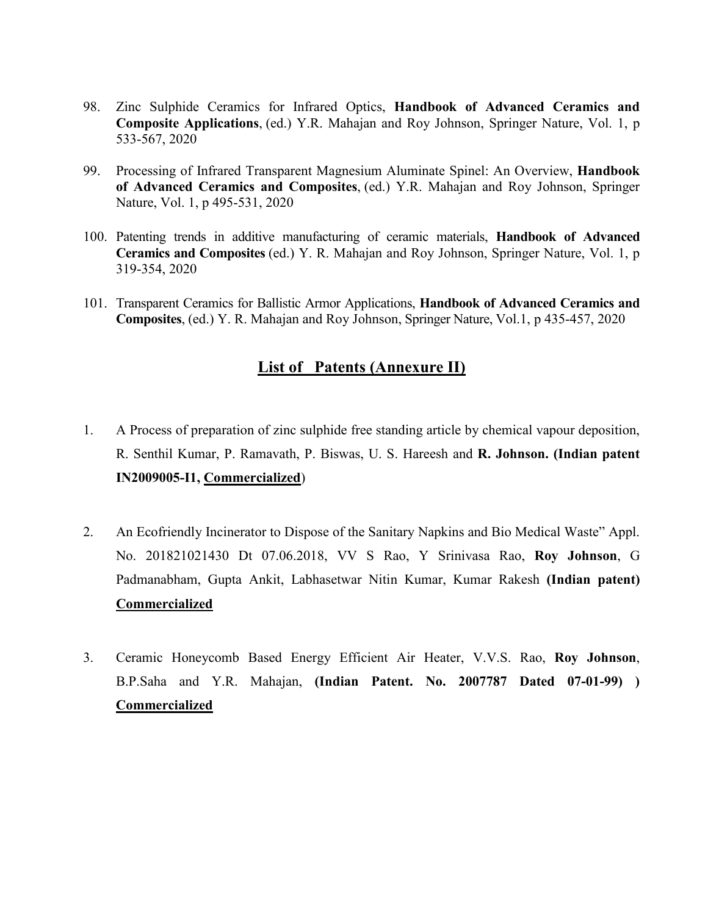- 98. Zinc Sulphide Ceramics for Infrared Optics, **Handbook of Advanced Ceramics and Composite Applications**, (ed.) Y.R. Mahajan and Roy Johnson, Springer Nature, Vol. 1, p 533-567, 2020
- 99. Processing of Infrared Transparent Magnesium Aluminate Spinel: An Overview, **Handbook of Advanced Ceramics and Composites**, (ed.) Y.R. Mahajan and Roy Johnson, Springer Nature, Vol. 1, p 495-531, 2020
- 100. Patenting trends in additive manufacturing of ceramic materials, **Handbook of Advanced Ceramics and Composites** (ed.) Y. R. Mahajan and Roy Johnson, Springer Nature, Vol. 1, p 319-354, 2020
- 101. Transparent Ceramics for Ballistic Armor Applications, **Handbook of Advanced Ceramics and Composites**, (ed.) Y. R. Mahajan and Roy Johnson, Springer Nature, Vol.1, p 435-457, 2020

#### **List of Patents (Annexure II)**

- 1. A Process of preparation of zinc sulphide free standing article by chemical vapour deposition, R. Senthil Kumar, P. Ramavath, P. Biswas, U. S. Hareesh and **R. Johnson. (Indian patent IN2009005-I1, Commercialized**)
- 2. An Ecofriendly Incinerator to Dispose of the Sanitary Napkins and Bio Medical Waste" Appl. No. 201821021430 Dt 07.06.2018, VV S Rao, Y Srinivasa Rao, **Roy Johnson**, G Padmanabham, Gupta Ankit, Labhasetwar Nitin Kumar, Kumar Rakesh **(Indian patent) Commercialized**
- 3. Ceramic Honeycomb Based Energy Efficient Air Heater, V.V.S. Rao, **Roy Johnson**, B.P.Saha and Y.R. Mahajan, **(Indian Patent. No. 2007787 Dated 07-01-99) ) Commercialized**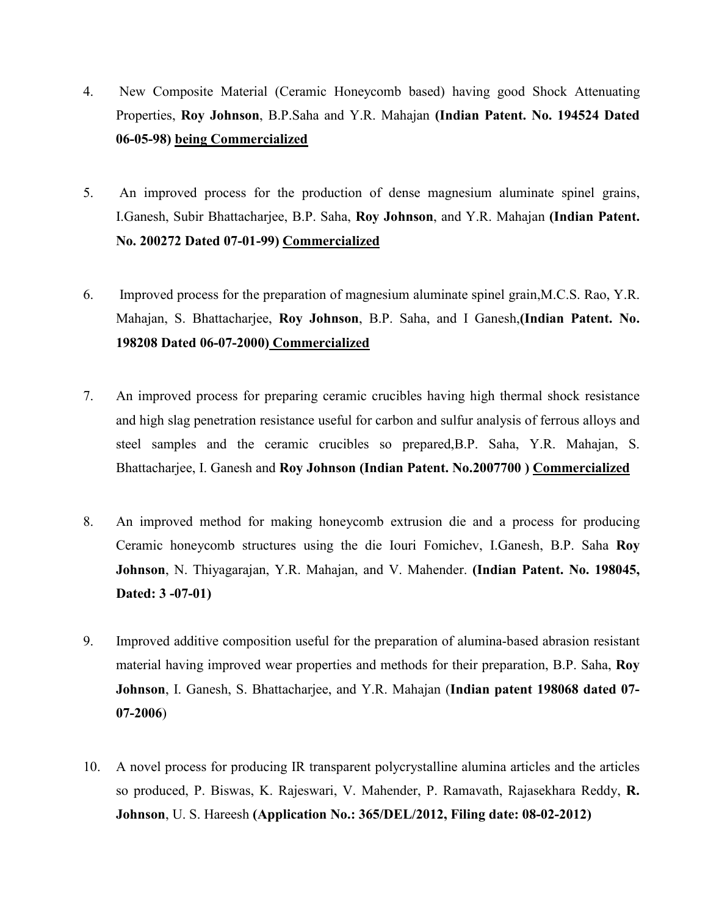- 4. New Composite Material (Ceramic Honeycomb based) having good Shock Attenuating Properties, **Roy Johnson**, B.P.Saha and Y.R. Mahajan **(Indian Patent. No. 194524 Dated 06-05-98) being Commercialized**
- 5. An improved process for the production of dense magnesium aluminate spinel grains, I.Ganesh, Subir Bhattacharjee, B.P. Saha, **Roy Johnson**, and Y.R. Mahajan **(Indian Patent. No. 200272 Dated 07-01-99) Commercialized**
- 6. Improved process for the preparation of magnesium aluminate spinel grain,M.C.S. Rao, Y.R. Mahajan, S. Bhattacharjee, **Roy Johnson**, B.P. Saha, and I Ganesh,**(Indian Patent. No. 198208 Dated 06-07-2000) Commercialized**
- 7. An improved process for preparing ceramic crucibles having high thermal shock resistance and high slag penetration resistance useful for carbon and sulfur analysis of ferrous alloys and steel samples and the ceramic crucibles so prepared,B.P. Saha, Y.R. Mahajan, S. Bhattacharjee, I. Ganesh and **Roy Johnson (Indian Patent. No.2007700 ) Commercialized**
- 8. An improved method for making honeycomb extrusion die and a process for producing Ceramic honeycomb structures using the die Iouri Fomichev, I.Ganesh, B.P. Saha **Roy Johnson**, N. Thiyagarajan, Y.R. Mahajan, and V. Mahender. **(Indian Patent. No. 198045, Dated: 3 -07-01)**
- 9. Improved additive composition useful for the preparation of alumina-based abrasion resistant material having improved wear properties and methods for their preparation, B.P. Saha, **Roy Johnson**, I. Ganesh, S. Bhattacharjee, and Y.R. Mahajan (**Indian patent 198068 dated 07- 07-2006**)
- 10. A novel process for producing IR transparent polycrystalline alumina articles and the articles so produced, P. Biswas, K. Rajeswari, V. Mahender, P. Ramavath, Rajasekhara Reddy, **R. Johnson**, U. S. Hareesh **(Application No.: 365/DEL/2012, Filing date: 08-02-2012)**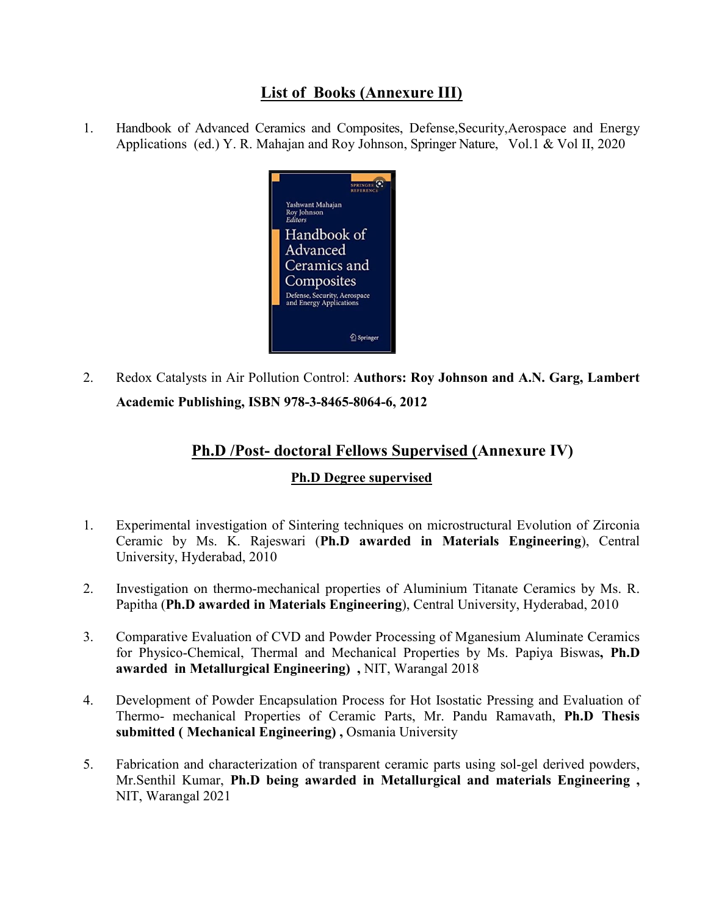# **List of Books (Annexure III)**

1. Handbook of Advanced Ceramics and Composites, Defense,Security,Aerospace and Energy Applications (ed.) Y. R. Mahajan and Roy Johnson, Springer Nature, Vol.1 & Vol II, 2020



2. Redox Catalysts in Air Pollution Control: **Authors: Roy Johnson and A.N. Garg, Lambert Academic Publishing, ISBN 978-3-8465-8064-6, 2012** 

# **Ph.D /Post- doctoral Fellows Supervised (Annexure IV)**

#### **Ph.D Degree supervised**

- 1. Experimental investigation of Sintering techniques on microstructural Evolution of Zirconia Ceramic by Ms. K. Rajeswari (**Ph.D awarded in Materials Engineering**), Central University, Hyderabad, 2010
- 2. Investigation on thermo-mechanical properties of Aluminium Titanate Ceramics by Ms. R. Papitha (**Ph.D awarded in Materials Engineering**), Central University, Hyderabad, 2010
- 3. Comparative Evaluation of CVD and Powder Processing of Mganesium Aluminate Ceramics for Physico-Chemical, Thermal and Mechanical Properties by Ms. Papiya Biswas**, Ph.D awarded in Metallurgical Engineering) ,** NIT, Warangal 2018
- 4. Development of Powder Encapsulation Process for Hot Isostatic Pressing and Evaluation of Thermo- mechanical Properties of Ceramic Parts, Mr. Pandu Ramavath, **Ph.D Thesis submitted ( Mechanical Engineering) ,** Osmania University
- 5. Fabrication and characterization of transparent ceramic parts using sol-gel derived powders, Mr.Senthil Kumar, **Ph.D being awarded in Metallurgical and materials Engineering ,**  NIT, Warangal 2021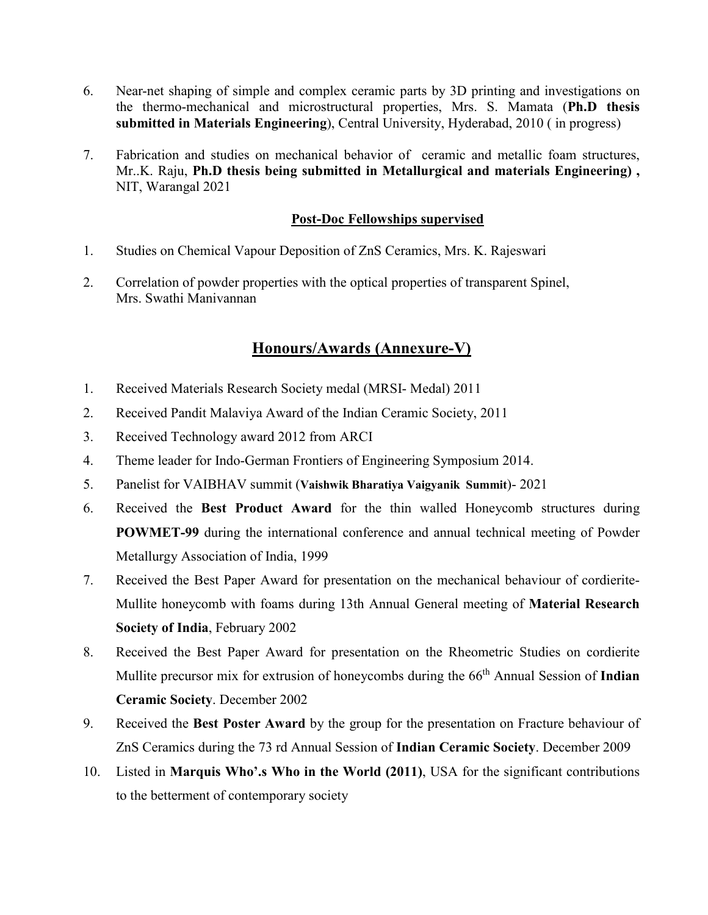- 6. Near-net shaping of simple and complex ceramic parts by 3D printing and investigations on the thermo-mechanical and microstructural properties, Mrs. S. Mamata (**Ph.D thesis submitted in Materials Engineering**), Central University, Hyderabad, 2010 ( in progress)
- 7. Fabrication and studies on mechanical behavior of ceramic and metallic foam structures, Mr..K. Raju, **Ph.D thesis being submitted in Metallurgical and materials Engineering) ,**  NIT, Warangal 2021

#### **Post-Doc Fellowships supervised**

- 1. Studies on Chemical Vapour Deposition of ZnS Ceramics, Mrs. K. Rajeswari
- 2. Correlation of powder properties with the optical properties of transparent Spinel, Mrs. Swathi Manivannan

# **Honours/Awards (Annexure-V)**

- 1. Received Materials Research Society medal (MRSI- Medal) 2011
- 2. Received Pandit Malaviya Award of the Indian Ceramic Society, 2011
- 3. Received Technology award 2012 from ARCI
- 4. Theme leader for Indo-German Frontiers of Engineering Symposium 2014.
- 5. Panelist for VAIBHAV summit (**Vaishwik Bharatiya Vaigyanik Summit**)- 2021
- 6. Received the **Best Product Award** for the thin walled Honeycomb structures during **POWMET-99** during the international conference and annual technical meeting of Powder Metallurgy Association of India, 1999
- 7. Received the Best Paper Award for presentation on the mechanical behaviour of cordierite-Mullite honeycomb with foams during 13th Annual General meeting of **Material Research Society of India**, February 2002
- 8. Received the Best Paper Award for presentation on the Rheometric Studies on cordierite Mullite precursor mix for extrusion of honeycombs during the 66<sup>th</sup> Annual Session of **Indian Ceramic Society**. December 2002
- 9. Received the **Best Poster Award** by the group for the presentation on Fracture behaviour of ZnS Ceramics during the 73 rd Annual Session of **Indian Ceramic Society**. December 2009
- 10. Listed in **Marquis Who'.s Who in the World (2011)**, USA for the significant contributions to the betterment of contemporary society